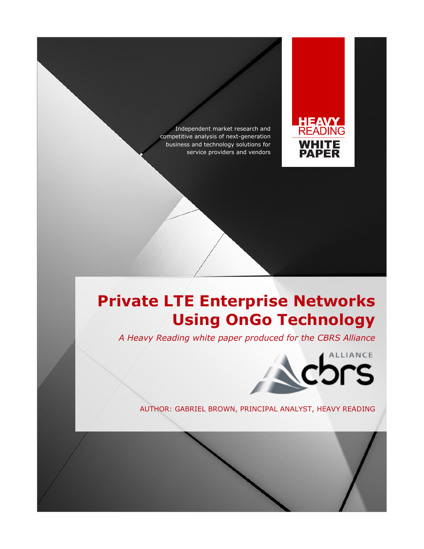Independent market research and competitive analysis of next-generation business and technology solutions for service providers and vendors



# **Private LTE Enterprise Networks Using OnGo Technology**

*A Heavy Reading white paper produced for the CBRS Alliance*



AUTHOR: GABRIEL BROWN, PRINCIPAL ANALYST, HEAVY READING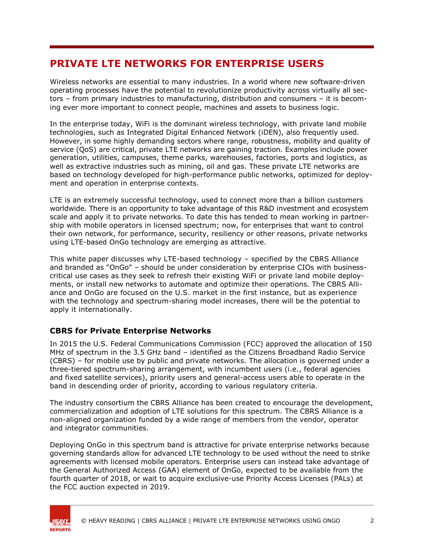# **PRIVATE LTE NETWORKS FOR ENTERPRISE USERS**

Wireless networks are essential to many industries. In a world where new software-driven operating processes have the potential to revolutionize productivity across virtually all sectors – from primary industries to manufacturing, distribution and consumers – it is becoming ever more important to connect people, machines and assets to business logic.

In the enterprise today, WiFi is the dominant wireless technology, with private land mobile technologies, such as Integrated Digital Enhanced Network (iDEN), also frequently used. However, in some highly demanding sectors where range, robustness, mobility and quality of service (QoS) are critical, private LTE networks are gaining traction. Examples include power generation, utilities, campuses, theme parks, warehouses, factories, ports and logistics, as well as extractive industries such as mining, oil and gas. These private LTE networks are based on technology developed for high-performance public networks, optimized for deployment and operation in enterprise contexts.

LTE is an extremely successful technology, used to connect more than a billion customers worldwide. There is an opportunity to take advantage of this R&D investment and ecosystem scale and apply it to private networks. To date this has tended to mean working in partnership with mobile operators in licensed spectrum; now, for enterprises that want to control their own network, for performance, security, resiliency or other reasons, private networks using LTE-based OnGo technology are emerging as attractive.

This white paper discusses why LTE-based technology – specified by the CBRS Alliance and branded as "OnGo" – should be under consideration by enterprise CIOs with businesscritical use cases as they seek to refresh their existing WiFi or private land mobile deployments, or install new networks to automate and optimize their operations. The CBRS Alliance and OnGo are focused on the U.S. market in the first instance, but as experience with the technology and spectrum-sharing model increases, there will be the potential to apply it internationally.

### **CBRS for Private Enterprise Networks**

In 2015 the U.S. Federal Communications Commission (FCC) approved the allocation of 150 MHz of spectrum in the 3.5 GHz band – identified as the Citizens Broadband Radio Service (CBRS) – for mobile use by public and private networks. The allocation is governed under a three-tiered spectrum-sharing arrangement, with incumbent users (i.e., federal agencies and fixed satellite services), priority users and general-access users able to operate in the band in descending order of priority, according to various regulatory criteria.

The industry consortium the CBRS Alliance has been created to encourage the development, commercialization and adoption of LTE solutions for this spectrum. The CBRS Alliance is a non-aligned organization funded by a wide range of members from the vendor, operator and integrator communities.

Deploying OnGo in this spectrum band is attractive for private enterprise networks because governing standards allow for advanced LTE technology to be used without the need to strike agreements with licensed mobile operators. Enterprise users can instead take advantage of the General Authorized Access (GAA) element of OnGo, expected to be available from the fourth quarter of 2018, or wait to acquire exclusive-use Priority Access Licenses (PALs) at the FCC auction expected in 2019.

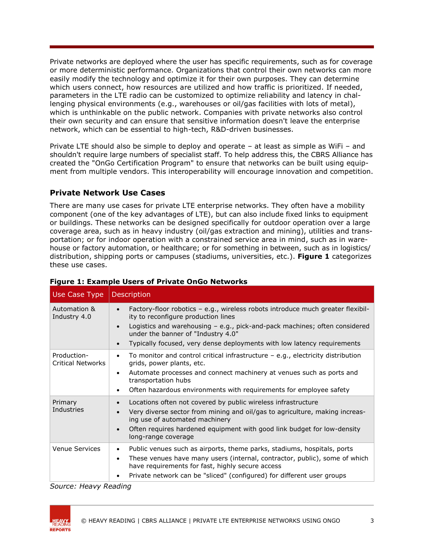Private networks are deployed where the user has specific requirements, such as for coverage or more deterministic performance. Organizations that control their own networks can more easily modify the technology and optimize it for their own purposes. They can determine which users connect, how resources are utilized and how traffic is prioritized. If needed, parameters in the LTE radio can be customized to optimize reliability and latency in challenging physical environments (e.g., warehouses or oil/gas facilities with lots of metal), which is unthinkable on the public network. Companies with private networks also control their own security and can ensure that sensitive information doesn't leave the enterprise network, which can be essential to high-tech, R&D-driven businesses.

Private LTE should also be simple to deploy and operate – at least as simple as WiFi – and shouldn't require large numbers of specialist staff. To help address this, the CBRS Alliance has created the "OnGo Certification Program" to ensure that networks can be built using equipment from multiple vendors. This interoperability will encourage innovation and competition.

### **Private Network Use Cases**

There are many use cases for private LTE enterprise networks. They often have a mobility component (one of the key advantages of LTE), but can also include fixed links to equipment or buildings. These networks can be designed specifically for outdoor operation over a large coverage area, such as in heavy industry (oil/gas extraction and mining), utilities and transportation; or for indoor operation with a constrained service area in mind, such as in warehouse or factory automation, or healthcare; or for something in between, such as in logistics/ distribution, shipping ports or campuses (stadiums, universities, etc.). **Figure 1** categorizes these use cases.

| Use Case Type                           | Description                                                                                                                                                                                                                                                                                                           |
|-----------------------------------------|-----------------------------------------------------------------------------------------------------------------------------------------------------------------------------------------------------------------------------------------------------------------------------------------------------------------------|
| Automation &<br>Industry 4.0            | Factory-floor robotics - e.g., wireless robots introduce much greater flexibil-<br>ity to reconfigure production lines<br>Logistics and warehousing - e.g., pick-and-pack machines; often considered<br>under the banner of "Industry 4.0"<br>Typically focused, very dense deployments with low latency requirements |
| Production-<br><b>Critical Networks</b> | To monitor and control critical infrastructure $-$ e.g., electricity distribution<br>grids, power plants, etc.<br>Automate processes and connect machinery at venues such as ports and<br>transportation hubs<br>Often hazardous environments with requirements for employee safety                                   |
| Primary<br>Industries                   | Locations often not covered by public wireless infrastructure<br>Very diverse sector from mining and oil/gas to agriculture, making increas-<br>ing use of automated machinery<br>Often requires hardened equipment with good link budget for low-density<br>long-range coverage                                      |
| <b>Venue Services</b>                   | Public venues such as airports, theme parks, stadiums, hospitals, ports<br>These venues have many users (internal, contractor, public), some of which<br>have requirements for fast, highly secure access<br>Private network can be "sliced" (configured) for different user groups                                   |

#### **Figure 1: Example Users of Private OnGo Networks**

*Source: Heavy Reading*

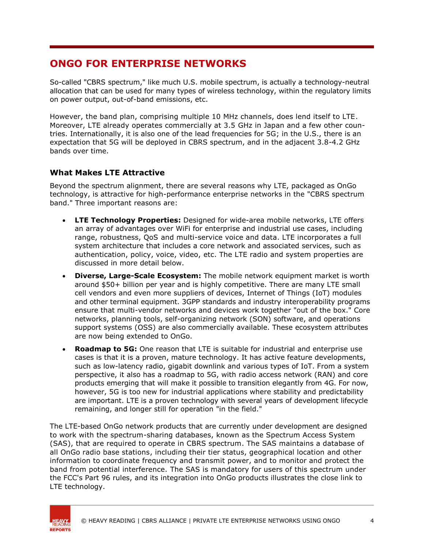## **ONGO FOR ENTERPRISE NETWORKS**

So-called "CBRS spectrum," like much U.S. mobile spectrum, is actually a technology-neutral allocation that can be used for many types of wireless technology, within the regulatory limits on power output, out-of-band emissions, etc.

However, the band plan, comprising multiple 10 MHz channels, does lend itself to LTE. Moreover, LTE already operates commercially at 3.5 GHz in Japan and a few other countries. Internationally, it is also one of the lead frequencies for 5G; in the U.S., there is an expectation that 5G will be deployed in CBRS spectrum, and in the adjacent 3.8-4.2 GHz bands over time.

### **What Makes LTE Attractive**

Beyond the spectrum alignment, there are several reasons why LTE, packaged as OnGo technology, is attractive for high-performance enterprise networks in the "CBRS spectrum band." Three important reasons are:

- **LTE Technology Properties:** Designed for wide-area mobile networks, LTE offers an array of advantages over WiFi for enterprise and industrial use cases, including range, robustness, QoS and multi-service voice and data. LTE incorporates a full system architecture that includes a core network and associated services, such as authentication, policy, voice, video, etc. The LTE radio and system properties are discussed in more detail below.
- **Diverse, Large-Scale Ecosystem:** The mobile network equipment market is worth around \$50+ billion per year and is highly competitive. There are many LTE small cell vendors and even more suppliers of devices, Internet of Things (IoT) modules and other terminal equipment. 3GPP standards and industry interoperability programs ensure that multi-vendor networks and devices work together "out of the box." Core networks, planning tools, self-organizing network (SON) software, and operations support systems (OSS) are also commercially available. These ecosystem attributes are now being extended to OnGo.
- **Roadmap to 5G:** One reason that LTE is suitable for industrial and enterprise use cases is that it is a proven, mature technology. It has active feature developments, such as low-latency radio, gigabit downlink and various types of IoT. From a system perspective, it also has a roadmap to 5G, with radio access network (RAN) and core products emerging that will make it possible to transition elegantly from 4G. For now, however, 5G is too new for industrial applications where stability and predictability are important. LTE is a proven technology with several years of development lifecycle remaining, and longer still for operation "in the field."

The LTE-based OnGo network products that are currently under development are designed to work with the spectrum-sharing databases, known as the Spectrum Access System (SAS), that are required to operate in CBRS spectrum. The SAS maintains a database of all OnGo radio base stations, including their tier status, geographical location and other information to coordinate frequency and transmit power, and to monitor and protect the band from potential interference. The SAS is mandatory for users of this spectrum under the FCC's Part 96 rules, and its integration into OnGo products illustrates the close link to LTE technology.

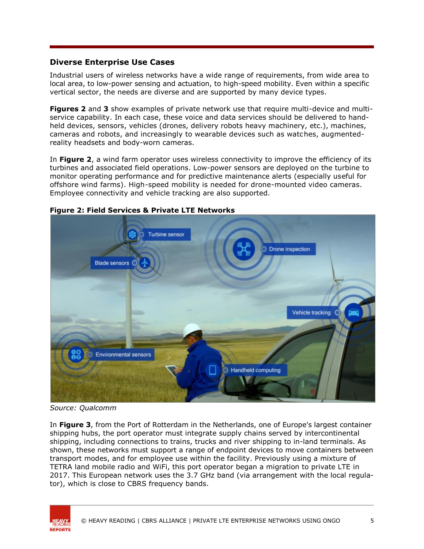### **Diverse Enterprise Use Cases**

Industrial users of wireless networks have a wide range of requirements, from wide area to local area, to low-power sensing and actuation, to high-speed mobility. Even within a specific vertical sector, the needs are diverse and are supported by many device types.

**Figures 2** and **3** show examples of private network use that require multi-device and multiservice capability. In each case, these voice and data services should be delivered to handheld devices, sensors, vehicles (drones, delivery robots heavy machinery, etc.), machines, cameras and robots, and increasingly to wearable devices such as watches, augmentedreality headsets and body-worn cameras.

In **Figure 2**, a wind farm operator uses wireless connectivity to improve the efficiency of its turbines and associated field operations. Low-power sensors are deployed on the turbine to monitor operating performance and for predictive maintenance alerts (especially useful for offshore wind farms). High-speed mobility is needed for drone-mounted video cameras. Employee connectivity and vehicle tracking are also supported.



#### **Figure 2: Field Services & Private LTE Networks**

*Source: Qualcomm*

In **Figure 3**, from the Port of Rotterdam in the Netherlands, one of Europe's largest container shipping hubs, the port operator must integrate supply chains served by intercontinental shipping, including connections to trains, trucks and river shipping to in-land terminals. As shown, these networks must support a range of endpoint devices to move containers between transport modes, and for employee use within the facility. Previously using a mixture of TETRA land mobile radio and WiFi, this port operator began a migration to private LTE in 2017. This European network uses the 3.7 GHz band (via arrangement with the local regulator), which is close to CBRS frequency bands.

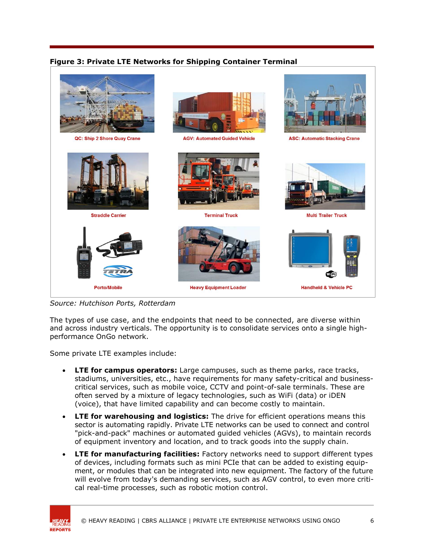### **Figure 3: Private LTE Networks for Shipping Container Terminal**



*Source: Hutchison Ports, Rotterdam*

The types of use case, and the endpoints that need to be connected, are diverse within and across industry verticals. The opportunity is to consolidate services onto a single highperformance OnGo network.

Some private LTE examples include:

- **LTE for campus operators:** Large campuses, such as theme parks, race tracks, stadiums, universities, etc., have requirements for many safety-critical and businesscritical services, such as mobile voice, CCTV and point-of-sale terminals. These are often served by a mixture of legacy technologies, such as WiFi (data) or iDEN (voice), that have limited capability and can become costly to maintain.
- **LTE for warehousing and logistics:** The drive for efficient operations means this sector is automating rapidly. Private LTE networks can be used to connect and control "pick-and-pack" machines or automated guided vehicles (AGVs), to maintain records of equipment inventory and location, and to track goods into the supply chain.
- **LTE for manufacturing facilities:** Factory networks need to support different types of devices, including formats such as mini PCIe that can be added to existing equipment, or modules that can be integrated into new equipment. The factory of the future will evolve from today's demanding services, such as AGV control, to even more critical real-time processes, such as robotic motion control.

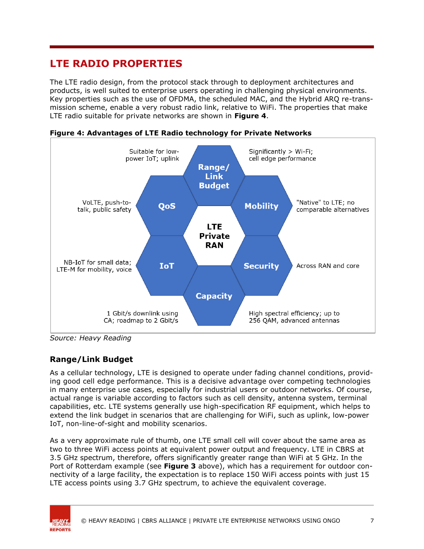# **LTE RADIO PROPERTIES**

The LTE radio design, from the protocol stack through to deployment architectures and products, is well suited to enterprise users operating in challenging physical environments. Key properties such as the use of OFDMA, the scheduled MAC, and the Hybrid ARQ re-transmission scheme, enable a very robust radio link, relative to WiFi. The properties that make LTE radio suitable for private networks are shown in **Figure 4**.



**Figure 4: Advantages of LTE Radio technology for Private Networks**

*Source: Heavy Reading*

### **Range/Link Budget**

As a cellular technology, LTE is designed to operate under fading channel conditions, providing good cell edge performance. This is a decisive advantage over competing technologies in many enterprise use cases, especially for industrial users or outdoor networks. Of course, actual range is variable according to factors such as cell density, antenna system, terminal capabilities, etc. LTE systems generally use high-specification RF equipment, which helps to extend the link budget in scenarios that are challenging for WiFi, such as uplink, low-power IoT, non-line-of-sight and mobility scenarios.

As a very approximate rule of thumb, one LTE small cell will cover about the same area as two to three WiFi access points at equivalent power output and frequency. LTE in CBRS at 3.5 GHz spectrum, therefore, offers significantly greater range than WiFi at 5 GHz. In the Port of Rotterdam example (see **Figure 3** above), which has a requirement for outdoor connectivity of a large facility, the expectation is to replace 150 WiFi access points with just 15 LTE access points using 3.7 GHz spectrum, to achieve the equivalent coverage.

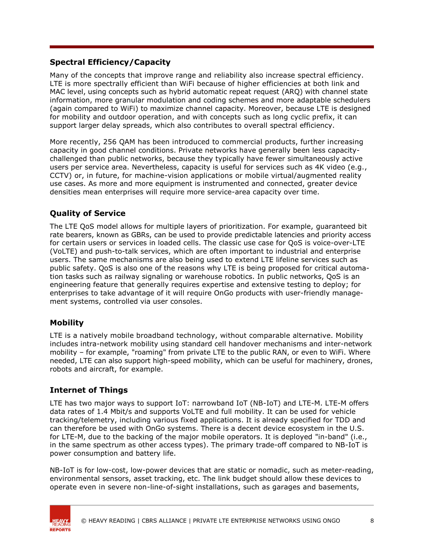### **Spectral Efficiency/Capacity**

Many of the concepts that improve range and reliability also increase spectral efficiency. LTE is more spectrally efficient than WiFi because of higher efficiencies at both link and MAC level, using concepts such as hybrid automatic repeat request (ARQ) with channel state information, more granular modulation and coding schemes and more adaptable schedulers (again compared to WiFi) to maximize channel capacity. Moreover, because LTE is designed for mobility and outdoor operation, and with concepts such as long cyclic prefix, it can support larger delay spreads, which also contributes to overall spectral efficiency.

More recently, 256 QAM has been introduced to commercial products, further increasing capacity in good channel conditions. Private networks have generally been less capacitychallenged than public networks, because they typically have fewer simultaneously active users per service area. Nevertheless, capacity is useful for services such as 4K video (e.g., CCTV) or, in future, for machine-vision applications or mobile virtual/augmented reality use cases. As more and more equipment is instrumented and connected, greater device densities mean enterprises will require more service-area capacity over time.

### **Quality of Service**

The LTE QoS model allows for multiple layers of prioritization. For example, guaranteed bit rate bearers, known as GBRs, can be used to provide predictable latencies and priority access for certain users or services in loaded cells. The classic use case for QoS is voice-over-LTE (VoLTE) and push-to-talk services, which are often important to industrial and enterprise users. The same mechanisms are also being used to extend LTE lifeline services such as public safety. QoS is also one of the reasons why LTE is being proposed for critical automation tasks such as railway signaling or warehouse robotics. In public networks, QoS is an engineering feature that generally requires expertise and extensive testing to deploy; for enterprises to take advantage of it will require OnGo products with user-friendly management systems, controlled via user consoles.

### **Mobility**

LTE is a natively mobile broadband technology, without comparable alternative. Mobility includes intra-network mobility using standard cell handover mechanisms and inter-network mobility – for example, "roaming" from private LTE to the public RAN, or even to WiFi. Where needed, LTE can also support high-speed mobility, which can be useful for machinery, drones, robots and aircraft, for example.

### **Internet of Things**

LTE has two major ways to support IoT: narrowband IoT (NB-IoT) and LTE-M. LTE-M offers data rates of 1.4 Mbit/s and supports VoLTE and full mobility. It can be used for vehicle tracking/telemetry, including various fixed applications. It is already specified for TDD and can therefore be used with OnGo systems. There is a decent device ecosystem in the U.S. for LTE-M, due to the backing of the major mobile operators. It is deployed "in-band" (i.e., in the same spectrum as other access types). The primary trade-off compared to NB-IoT is power consumption and battery life.

NB-IoT is for low-cost, low-power devices that are static or nomadic, such as meter-reading, environmental sensors, asset tracking, etc. The link budget should allow these devices to operate even in severe non-line-of-sight installations, such as garages and basements,